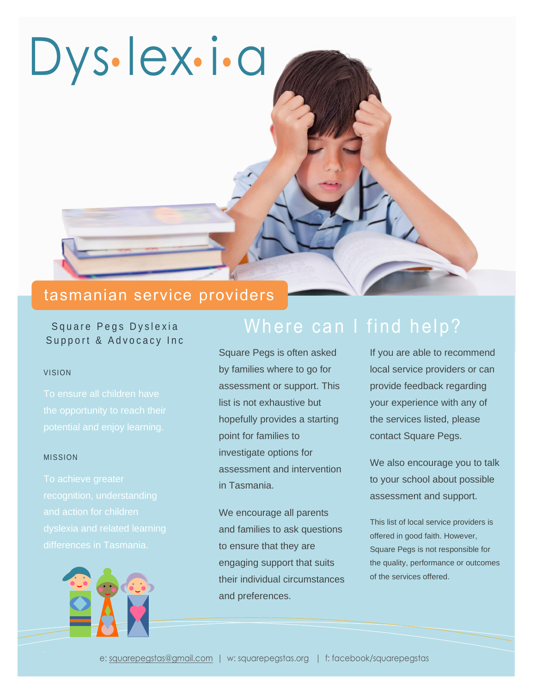

# tasmanian service providers

### Square Pegs Dyslexia Support & Advocacy Inc

#### VISION

#### MISSION



# Where can I find help?

Square Pegs is often asked by families where to go for assessment or support. This list is not exhaustive but hopefully provides a starting point for families to investigate options for assessment and intervention in Tasmania.

We encourage all parents and families to ask questions to ensure that they are engaging support that suits their individual circumstances and preferences.

If you are able to recommend local service providers or can provide feedback regarding your experience with any of the services listed, please contact Square Pegs.

We also encourage you to talk to your school about possible assessment and support.

This list of local service providers is offered in good faith. However, Square Pegs is not responsible for the quality, performance or outcomes of the services offered.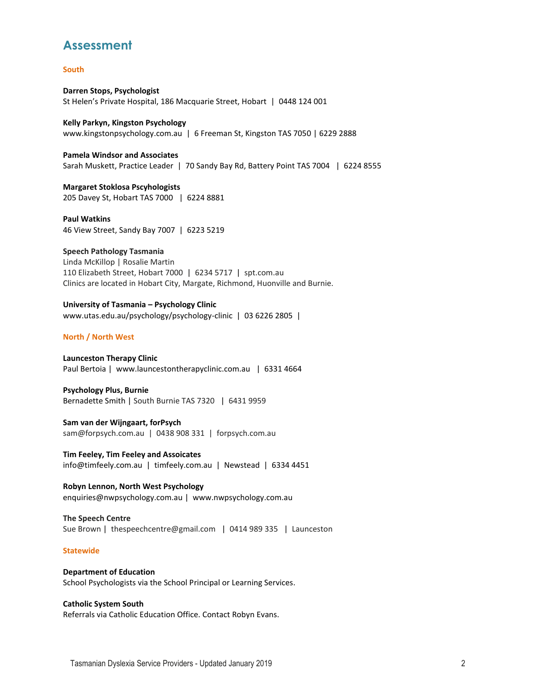### **Assessment**

#### **South**

**Darren Stops, Psychologist** St Helen's Private Hospital, 186 Macquarie Street, Hobart | 0448 124 001

**Kelly Parkyn, Kingston Psychology** [www.kingstonpsychology.com.au](http://www.kingstonpsychology.com.au/) | 6 Freeman St, Kingston TAS 7050 | 6229 2888

**Pamela Windsor and Associates** Sarah Muskett, Practice Leader | 70 Sandy Bay Rd, Battery Point TAS 7004 | 6224 8555

**Margaret Stoklosa Pscyhologists** 205 Davey St, Hobart TAS 7000 | 6224 8881

**Paul Watkins** 46 View Street, Sandy Bay 7007 | 6223 5219

**Speech Pathology Tasmania** Linda McKillop | Rosalie Martin 110 Elizabeth Street, Hobart 7000 | 6234 5717 | spt.com.au Clinics are located i[n Hobart](http://spt.com.au/other-clinics) City[, Margate, Richmond,](http://spt.com.au/other-clinics) [Huonville](http://spt.com.au/other-clinics) and [Burnie.](http://spt.com.au/other-clinics)

**University of Tasmania – Psychology Clinic**  [www.utas.edu.au/psychology/psychology-clinic](http://www.utas.edu.au/psychology/psychology-clinic) | 03 6226 2805 |

#### **North / North West**

**Launceston Therapy Clinic** Paul Bertoia | [www.launcestontherapyclinic.com.au](http://www.launcestontherapyclinic.com.au/) | 6331 4664

**Psychology Plus, Burnie** Bernadette Smith | South Burnie TAS 7320 | 6431 9959

**Sam van der Wijngaart, forPsych** [sam@forpsych.com.au](mailto:sam@forpsych.com.au) | 0438 908 331 | [forpsych.com.au](http://www.forpsych.com.au/)

**Tim Feeley, Tim Feeley and Assoicates** [info@timfeely.com.au](mailto:info@timfeely.com.au) | timfeely.com.au | Newstead | 6334 4451

**Robyn Lennon, North West Psychology** [enquiries@nwpsychology.com.au](mailto:enquiries@nwpsychology.com.au) | [www.nwpsychology.com.au](http://www.nwpsychology.com.au/)

**The Speech Centre**  Sue Brown | [thespeechcentre@gmail.com](mailto:thespeechcentre%40gmail.com) | 0414 989 335 | Launceston

#### **Statewide**

**Department of Education** School Psychologists via the School Principal or Learning Services.

#### **Catholic System South**

Referrals via Catholic Education Office. Contact Robyn Evans.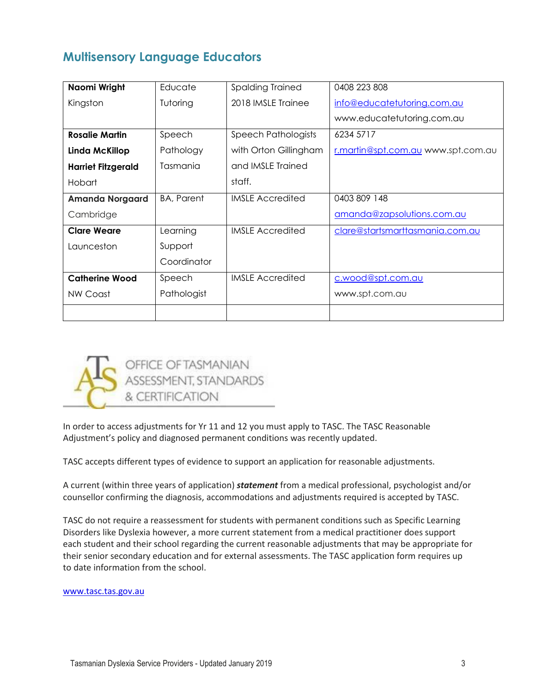## **Multisensory Language Educators**

| Naomi Wright              | Educate           | Spalding Trained        | 0408 223 808                       |
|---------------------------|-------------------|-------------------------|------------------------------------|
| Kingston                  | Tutoring          | 2018 IMSLE Trainee      | info@educatetutoring.com.au        |
|                           |                   |                         | www.educatetutoring.com.au         |
| <b>Rosalie Martin</b>     | Speech            | Speech Pathologists     | 6234 5717                          |
| Linda McKillop            | Pathology         | with Orton Gillingham   | r.martin@spt.com.au www.spt.com.au |
| <b>Harriet Fitzgerald</b> | Tasmania          | and IMSLE Trained       |                                    |
| Hobart                    |                   | staff.                  |                                    |
| <b>Amanda Norgaard</b>    | <b>BA, Parent</b> | <b>IMSLE Accredited</b> | 0403 809 148                       |
| Cambridge                 |                   |                         | amanda@zapsolutions.com.au         |
| <b>Clare Weare</b>        | Learning          | <b>IMSLE Accredited</b> | clare@startsmarttasmania.com.au    |
| Launceston                | Support           |                         |                                    |
|                           | Coordinator       |                         |                                    |
| <b>Catherine Wood</b>     | Speech            | <b>IMSLE Accredited</b> | c.wood@spt.com.au                  |
| NW Coast                  | Pathologist       |                         | www.spt.com.au                     |
|                           |                   |                         |                                    |



In order to access adjustments for Yr 11 and 12 you must apply to TASC. The TASC Reasonable Adjustment's policy and diagnosed permanent conditions was recently updated.

TASC accepts different types of evidence to support an application for reasonable adjustments.

A current (within three years of application) *statement* from a medical professional, psychologist and/or counsellor confirming the diagnosis, accommodations and adjustments required is accepted by TASC.

TASC do not require a reassessment for students with permanent conditions such as Specific Learning Disorders like Dyslexia however, a more current statement from a medical practitioner does support each student and their school regarding the current reasonable adjustments that may be appropriate for their senior secondary education and for external assessments. The TASC application form requires up to date information from the school.

[www.tasc.tas.gov.au](https://apac01.safelinks.protection.outlook.com/?url=http%3A%2F%2Fwww.tasc.tas.gov.au%2F&data=02%7C01%7CMaryellen.Salter%40wlf.com.au%7C3f1eff79ddd4447708c708d44fa87299%7C6b1ef7f7b19a40da82793a6f1b2dee5c%7C0%7C0%7C636221032282317634&sdata=NUEoDeR7Oc3y02io7E0bqzSXLM7okOtY8hYHJp%2F14QA%3D&reserved=0)